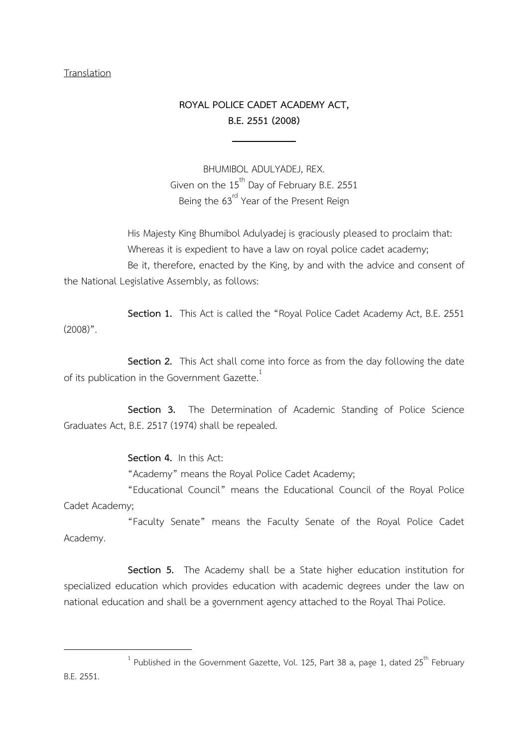#### **Translation**

# ROYAL POLICE CADET ACADEMY ACT, B.E. 2551 (2008)

l

BHUMIBOL ADULYADEJ, REX. Given on the  $15^{th}$  Day of February B.E. 2551 Being the 63<sup>rd</sup> Year of the Present Reign

His Majesty King Bhumibol Adulyadej is graciously pleased to proclaim that: Whereas it is expedient to have a law on royal police cadet academy; Be it, therefore, enacted by the King, by and with the advice and consent of the National Legislative Assembly, as follows:

Section 1. This Act is called the "Royal Police Cadet Academy Act, B.E. 2551  $(2008)$ ".

Section 2. This Act shall come into force as from the day following the date of its publication in the Government Gazette.<sup>1</sup>

Section 3. The Determination of Academic Standing of Police Science Graduates Act, B.E. 2517 (1974) shall be repealed.

#### Section 4. In this Act:

"Academy" means the Royal Police Cadet Academy;

"Educational Council" means the Educational Council of the Royal Police Cadet Academy;

 "Faculty Senate" means the Faculty Senate of the Royal Police Cadet Academy.

Section 5. The Academy shall be a State higher education institution for specialized education which provides education with academic degrees under the law on national education and shall be a government agency attached to the Royal Thai Police.

 $\overline{a}$ 

<sup>&</sup>lt;sup>1</sup> Published in the Government Gazette, Vol. 125, Part 38 a, page 1, dated 25<sup>th</sup> February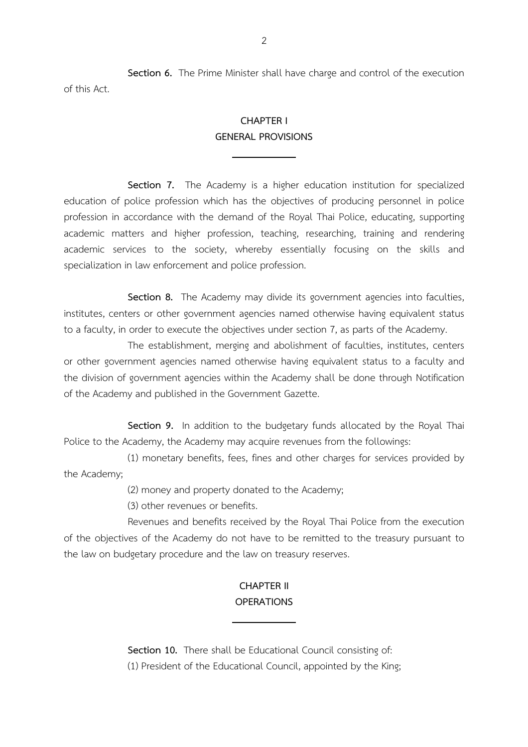Section 6. The Prime Minister shall have charge and control of the execution of this Act.

## CHAPTER I GENERAL PROVISIONS

 $\overline{\phantom{0}}$ 

Section 7. The Academy is a higher education institution for specialized education of police profession which has the objectives of producing personnel in police profession in accordance with the demand of the Royal Thai Police, educating, supporting academic matters and higher profession, teaching, researching, training and rendering academic services to the society, whereby essentially focusing on the skills and specialization in law enforcement and police profession.

Section 8. The Academy may divide its government agencies into faculties, institutes, centers or other government agencies named otherwise having equivalent status to a faculty, in order to execute the objectives under section 7, as parts of the Academy.

 The establishment, merging and abolishment of faculties, institutes, centers or other government agencies named otherwise having equivalent status to a faculty and the division of government agencies within the Academy shall be done through Notification of the Academy and published in the Government Gazette.

Section 9. In addition to the budgetary funds allocated by the Royal Thai Police to the Academy, the Academy may acquire revenues from the followings:

 (1) monetary benefits, fees, fines and other charges for services provided by the Academy;

(2) money and property donated to the Academy;

 $\overline{\phantom{0}}$ 

(3) other revenues or benefits.

 Revenues and benefits received by the Royal Thai Police from the execution of the objectives of the Academy do not have to be remitted to the treasury pursuant to the law on budgetary procedure and the law on treasury reserves.

## CHAPTER II **OPERATIONS**

Section 10. There shall be Educational Council consisting of: (1) President of the Educational Council, appointed by the King;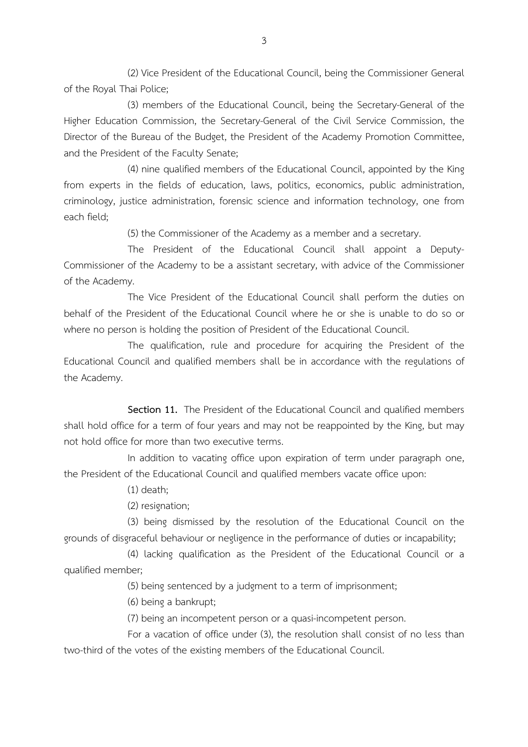(2) Vice President of the Educational Council, being the Commissioner General of the Royal Thai Police;

 (3) members of the Educational Council, being the Secretary-General of the Higher Education Commission, the Secretary-General of the Civil Service Commission, the Director of the Bureau of the Budget, the President of the Academy Promotion Committee, and the President of the Faculty Senate;

 (4) nine qualified members of the Educational Council, appointed by the King from experts in the fields of education, laws, politics, economics, public administration, criminology, justice administration, forensic science and information technology, one from each field;

(5) the Commissioner of the Academy as a member and a secretary.

 The President of the Educational Council shall appoint a Deputy-Commissioner of the Academy to be a assistant secretary, with advice of the Commissioner of the Academy.

 The Vice President of the Educational Council shall perform the duties on behalf of the President of the Educational Council where he or she is unable to do so or where no person is holding the position of President of the Educational Council.

 The qualification, rule and procedure for acquiring the President of the Educational Council and qualified members shall be in accordance with the regulations of the Academy.

Section 11. The President of the Educational Council and qualified members shall hold office for a term of four years and may not be reappointed by the King, but may not hold office for more than two executive terms.

 In addition to vacating office upon expiration of term under paragraph one, the President of the Educational Council and qualified members vacate office upon:

(1) death;

(2) resignation;

 (3) being dismissed by the resolution of the Educational Council on the grounds of disgraceful behaviour or negligence in the performance of duties or incapability;

 (4) lacking qualification as the President of the Educational Council or a qualified member;

(5) being sentenced by a judgment to a term of imprisonment;

(6) being a bankrupt;

(7) being an incompetent person or a quasi-incompetent person.

 For a vacation of office under (3), the resolution shall consist of no less than two-third of the votes of the existing members of the Educational Council.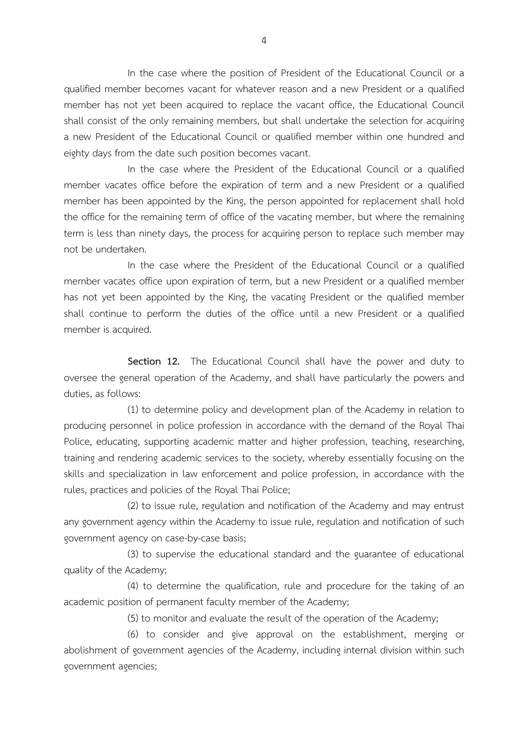In the case where the position of President of the Educational Council or a qualified member becomes vacant for whatever reason and a new President or a qualified member has not yet been acquired to replace the vacant office, the Educational Council shall consist of the only remaining members, but shall undertake the selection for acquiring a new President of the Educational Council or qualified member within one hundred and eighty days from the date such position becomes vacant.

 In the case where the President of the Educational Council or a qualified member vacates office before the expiration of term and a new President or a qualified member has been appointed by the King, the person appointed for replacement shall hold the office for the remaining term of office of the vacating member, but where the remaining term is less than ninety days, the process for acquiring person to replace such member may not be undertaken.

 In the case where the President of the Educational Council or a qualified member vacates office upon expiration of term, but a new President or a qualified member has not yet been appointed by the King, the vacating President or the qualified member shall continue to perform the duties of the office until a new President or a qualified member is acquired.

Section 12. The Educational Council shall have the power and duty to oversee the general operation of the Academy, and shall have particularly the powers and duties, as follows:

 (1) to determine policy and development plan of the Academy in relation to producing personnel in police profession in accordance with the demand of the Royal Thai Police, educating, supporting academic matter and higher profession, teaching, researching, training and rendering academic services to the society, whereby essentially focusing on the skills and specialization in law enforcement and police profession, in accordance with the rules, practices and policies of the Royal Thai Police;

 (2) to issue rule, regulation and notification of the Academy and may entrust any government agency within the Academy to issue rule, regulation and notification of such government agency on case-by-case basis;

 (3) to supervise the educational standard and the guarantee of educational quality of the Academy;

 (4) to determine the qualification, rule and procedure for the taking of an academic position of permanent faculty member of the Academy;

(5) to monitor and evaluate the result of the operation of the Academy;

 (6) to consider and give approval on the establishment, merging or abolishment of government agencies of the Academy, including internal division within such government agencies;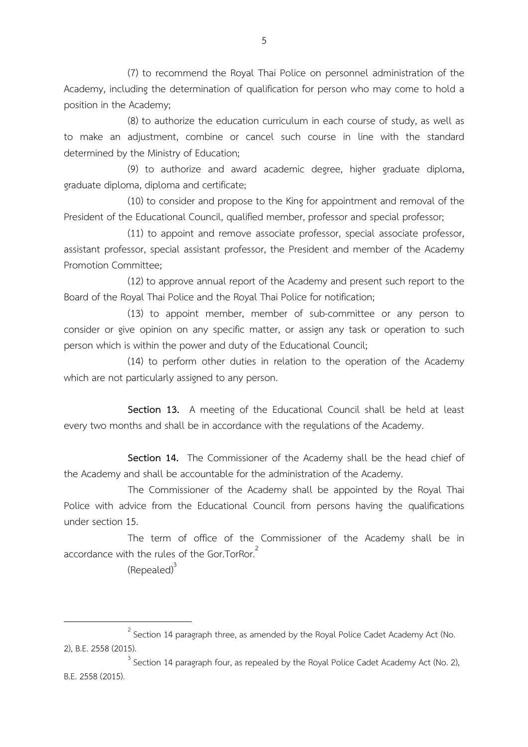(7) to recommend the Royal Thai Police on personnel administration of the Academy, including the determination of qualification for person who may come to hold a position in the Academy;

 (8) to authorize the education curriculum in each course of study, as well as to make an adjustment, combine or cancel such course in line with the standard determined by the Ministry of Education;

 (9) to authorize and award academic degree, higher graduate diploma, graduate diploma, diploma and certificate;

 (10) to consider and propose to the King for appointment and removal of the President of the Educational Council, qualified member, professor and special professor;

 (11) to appoint and remove associate professor, special associate professor, assistant professor, special assistant professor, the President and member of the Academy Promotion Committee;

 (12) to approve annual report of the Academy and present such report to the Board of the Royal Thai Police and the Royal Thai Police for notification;

 (13) to appoint member, member of sub-committee or any person to consider or give opinion on any specific matter, or assign any task or operation to such person which is within the power and duty of the Educational Council;

 (14) to perform other duties in relation to the operation of the Academy which are not particularly assigned to any person.

Section 13. A meeting of the Educational Council shall be held at least every two months and shall be in accordance with the regulations of the Academy.

Section 14. The Commissioner of the Academy shall be the head chief of the Academy and shall be accountable for the administration of the Academy.

 The Commissioner of the Academy shall be appointed by the Royal Thai Police with advice from the Educational Council from persons having the qualifications under section 15.

 The term of office of the Commissioner of the Academy shall be in accordance with the rules of the Gor.TorRor.<sup>2</sup>

(Repealed)<sup>3</sup>

 $\overline{a}$ 

 $3$  Section 14 paragraph four, as repealed by the Royal Police Cadet Academy Act (No. 2), B.E. 2558 (2015).

 $^{2}$  Section 14 paragraph three, as amended by the Royal Police Cadet Academy Act (No. 2), B.E. 2558 (2015).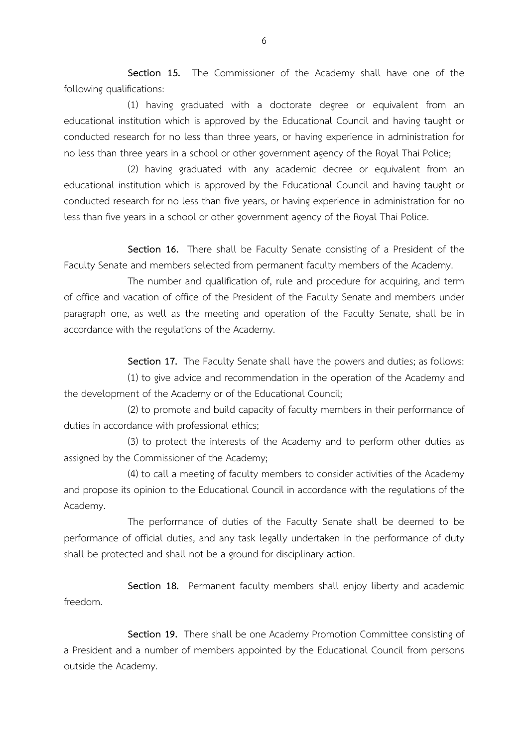Section 15. The Commissioner of the Academy shall have one of the following qualifications:

 (1) having graduated with a doctorate degree or equivalent from an educational institution which is approved by the Educational Council and having taught or conducted research for no less than three years, or having experience in administration for no less than three years in a school or other government agency of the Royal Thai Police;

 (2) having graduated with any academic decree or equivalent from an educational institution which is approved by the Educational Council and having taught or conducted research for no less than five years, or having experience in administration for no less than five years in a school or other government agency of the Royal Thai Police.

Section 16. There shall be Faculty Senate consisting of a President of the Faculty Senate and members selected from permanent faculty members of the Academy.

 The number and qualification of, rule and procedure for acquiring, and term of office and vacation of office of the President of the Faculty Senate and members under paragraph one, as well as the meeting and operation of the Faculty Senate, shall be in accordance with the regulations of the Academy.

Section 17. The Faculty Senate shall have the powers and duties; as follows:

 (1) to give advice and recommendation in the operation of the Academy and the development of the Academy or of the Educational Council;

 (2) to promote and build capacity of faculty members in their performance of duties in accordance with professional ethics;

 (3) to protect the interests of the Academy and to perform other duties as assigned by the Commissioner of the Academy;

 (4) to call a meeting of faculty members to consider activities of the Academy and propose its opinion to the Educational Council in accordance with the regulations of the Academy.

 The performance of duties of the Faculty Senate shall be deemed to be performance of official duties, and any task legally undertaken in the performance of duty shall be protected and shall not be a ground for disciplinary action.

Section 18. Permanent faculty members shall enjoy liberty and academic freedom.

Section 19. There shall be one Academy Promotion Committee consisting of a President and a number of members appointed by the Educational Council from persons outside the Academy.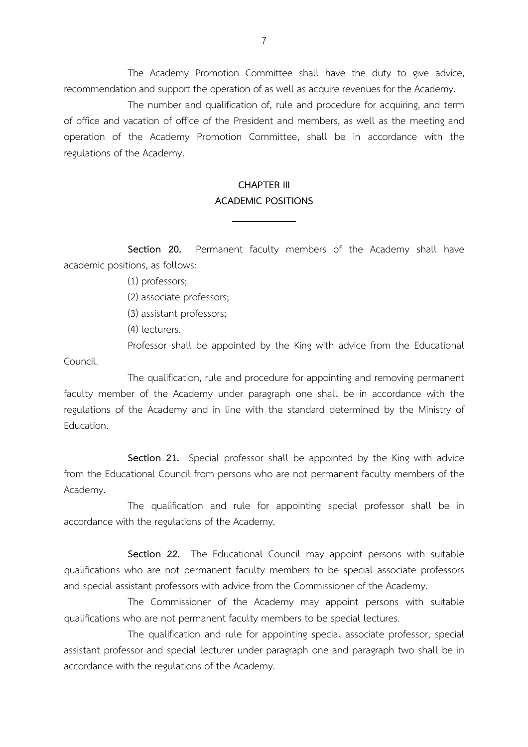The Academy Promotion Committee shall have the duty to give advice, recommendation and support the operation of as well as acquire revenues for the Academy.

 The number and qualification of, rule and procedure for acquiring, and term of office and vacation of office of the President and members, as well as the meeting and operation of the Academy Promotion Committee, shall be in accordance with the regulations of the Academy.

## CHAPTER III ACADEMIC POSITIONS

 $\overline{\phantom{0}}$ 

Section 20. Permanent faculty members of the Academy shall have academic positions, as follows:

(1) professors;

(2) associate professors;

(3) assistant professors;

(4) lecturers.

 Professor shall be appointed by the King with advice from the Educational Council.

 The qualification, rule and procedure for appointing and removing permanent faculty member of the Academy under paragraph one shall be in accordance with the regulations of the Academy and in line with the standard determined by the Ministry of Education.

Section 21. Special professor shall be appointed by the King with advice from the Educational Council from persons who are not permanent faculty members of the Academy.

 The qualification and rule for appointing special professor shall be in accordance with the regulations of the Academy.

Section 22. The Educational Council may appoint persons with suitable qualifications who are not permanent faculty members to be special associate professors and special assistant professors with advice from the Commissioner of the Academy.

 The Commissioner of the Academy may appoint persons with suitable qualifications who are not permanent faculty members to be special lectures.

 The qualification and rule for appointing special associate professor, special assistant professor and special lecturer under paragraph one and paragraph two shall be in accordance with the regulations of the Academy.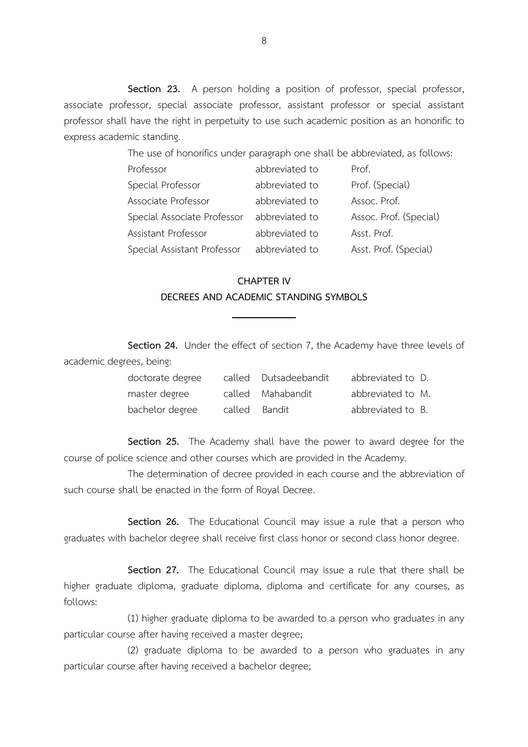Section 23. A person holding a position of professor, special professor, associate professor, special associate professor, assistant professor or special assistant professor shall have the right in perpetuity to use such academic position as an honorific to express academic standing.

The use of honorifics under paragraph one shall be abbreviated, as follows:

| Professor                   | abbreviated to | Prof.                  |
|-----------------------------|----------------|------------------------|
| Special Professor           | abbreviated to | Prof. (Special)        |
| Associate Professor         | abbreviated to | Assoc. Prof.           |
| Special Associate Professor | abbreviated to | Assoc. Prof. (Special) |
| Assistant Professor         | abbreviated to | Asst. Prof.            |
| Special Assistant Professor | abbreviated to | Asst. Prof. (Special)  |

### CHAPTER IV DECREES AND ACADEMIC STANDING SYMBOLS

 $\overline{a}$ 

Section 24. Under the effect of section 7, the Academy have three levels of academic degrees, being:

| doctorate degree |               | called Dutsadeebandit | abbreviated to D. |  |
|------------------|---------------|-----------------------|-------------------|--|
| master degree    |               | called Mahabandit     | abbreviated to M. |  |
| bachelor degree  | called Bandit |                       | abbreviated to B. |  |

Section 25. The Academy shall have the power to award degree for the course of police science and other courses which are provided in the Academy.

 The determination of decree provided in each course and the abbreviation of such course shall be enacted in the form of Royal Decree.

Section 26. The Educational Council may issue a rule that a person who graduates with bachelor degree shall receive first class honor or second class honor degree.

Section 27. The Educational Council may issue a rule that there shall be higher graduate diploma, graduate diploma, diploma and certificate for any courses, as follows:

 (1) higher graduate diploma to be awarded to a person who graduates in any particular course after having received a master degree;

 (2) graduate diploma to be awarded to a person who graduates in any particular course after having received a bachelor degree;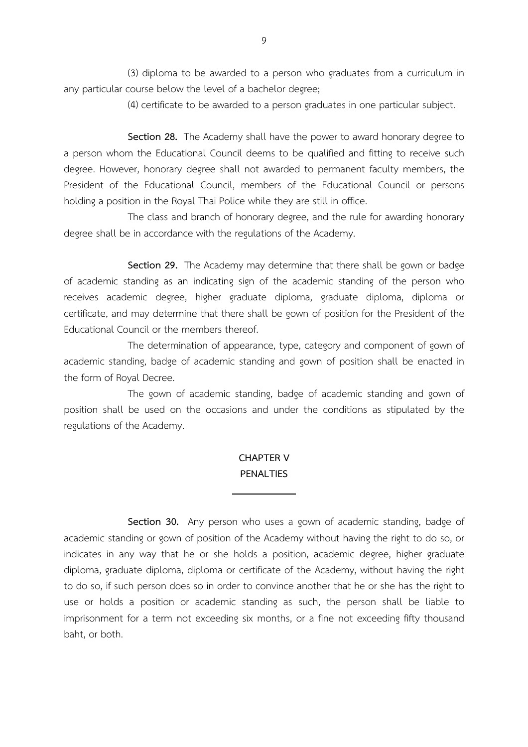(3) diploma to be awarded to a person who graduates from a curriculum in any particular course below the level of a bachelor degree;

(4) certificate to be awarded to a person graduates in one particular subject.

Section 28. The Academy shall have the power to award honorary degree to a person whom the Educational Council deems to be qualified and fitting to receive such degree. However, honorary degree shall not awarded to permanent faculty members, the President of the Educational Council, members of the Educational Council or persons holding a position in the Royal Thai Police while they are still in office.

 The class and branch of honorary degree, and the rule for awarding honorary degree shall be in accordance with the regulations of the Academy.

Section 29. The Academy may determine that there shall be gown or badge of academic standing as an indicating sign of the academic standing of the person who receives academic degree, higher graduate diploma, graduate diploma, diploma or certificate, and may determine that there shall be gown of position for the President of the Educational Council or the members thereof.

 The determination of appearance, type, category and component of gown of academic standing, badge of academic standing and gown of position shall be enacted in the form of Royal Decree.

 The gown of academic standing, badge of academic standing and gown of position shall be used on the occasions and under the conditions as stipulated by the regulations of the Academy.

### CHAPTER V PENAL TIFS

 $\overline{\phantom{0}}$ 

Section 30. Any person who uses a gown of academic standing, badge of academic standing or gown of position of the Academy without having the right to do so, or indicates in any way that he or she holds a position, academic degree, higher graduate diploma, graduate diploma, diploma or certificate of the Academy, without having the right to do so, if such person does so in order to convince another that he or she has the right to use or holds a position or academic standing as such, the person shall be liable to imprisonment for a term not exceeding six months, or a fine not exceeding fifty thousand baht, or both.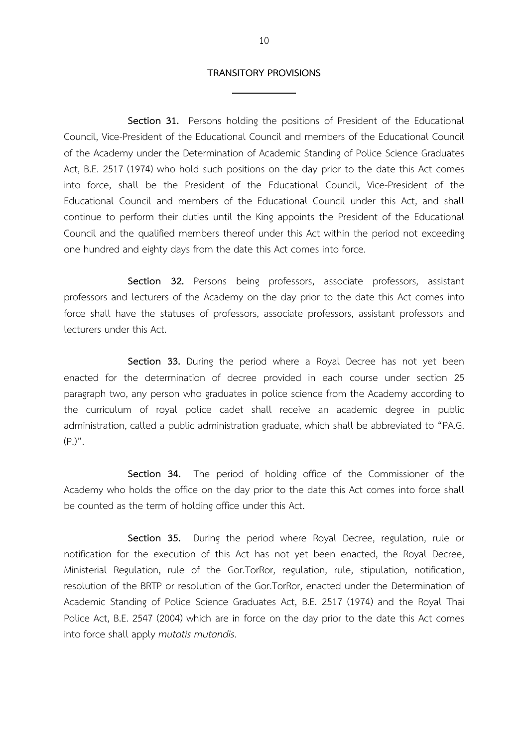#### TRANSITORY PROVISIONS

 $\overline{a}$ 

Section 31. Persons holding the positions of President of the Educational Council, Vice-President of the Educational Council and members of the Educational Council of the Academy under the Determination of Academic Standing of Police Science Graduates Act, B.E. 2517 (1974) who hold such positions on the day prior to the date this Act comes into force, shall be the President of the Educational Council, Vice-President of the Educational Council and members of the Educational Council under this Act, and shall continue to perform their duties until the King appoints the President of the Educational Council and the qualified members thereof under this Act within the period not exceeding one hundred and eighty days from the date this Act comes into force.

Section 32. Persons being professors, associate professors, assistant professors and lecturers of the Academy on the day prior to the date this Act comes into force shall have the statuses of professors, associate professors, assistant professors and lecturers under this Act.

Section 33. During the period where a Royal Decree has not yet been enacted for the determination of decree provided in each course under section 25 paragraph two, any person who graduates in police science from the Academy according to the curriculum of royal police cadet shall receive an academic degree in public administration, called a public administration graduate, which shall be abbreviated to "PA.G.  $(P_.)$ ".

Section 34. The period of holding office of the Commissioner of the Academy who holds the office on the day prior to the date this Act comes into force shall be counted as the term of holding office under this Act.

Section 35. During the period where Royal Decree, regulation, rule or notification for the execution of this Act has not yet been enacted, the Royal Decree, Ministerial Regulation, rule of the Gor.TorRor, regulation, rule, stipulation, notification, resolution of the BRTP or resolution of the Gor.TorRor, enacted under the Determination of Academic Standing of Police Science Graduates Act, B.E. 2517 (1974) and the Royal Thai Police Act, B.E. 2547 (2004) which are in force on the day prior to the date this Act comes into force shall apply mutatis mutandis.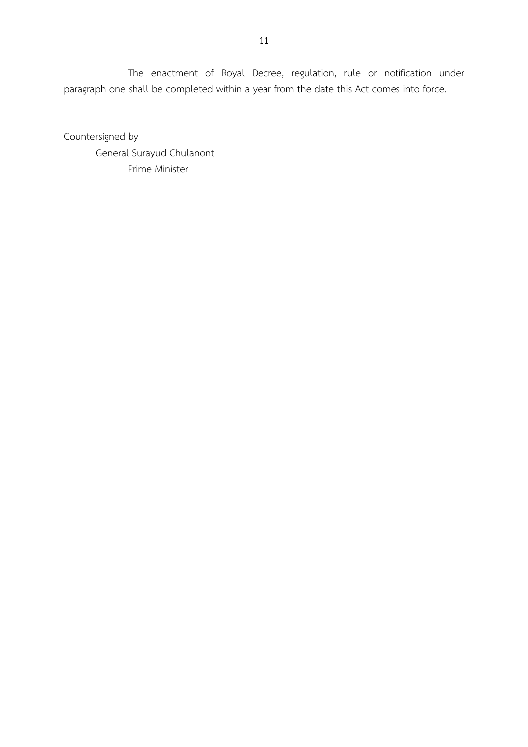The enactment of Royal Decree, regulation, rule or notification under paragraph one shall be completed within a year from the date this Act comes into force.

Countersigned by General Surayud Chulanont Prime Minister